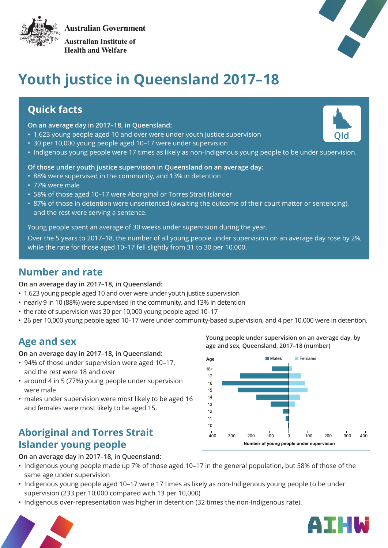



**Australian Institute of Health and Welfare** 



**Qld**

# **Youth justice in Queensland 2017–18**

### **Quick facts**

#### **On an average day in 2017–18, in Queensland:**

- 1,623 young people aged 10 and over were under youth justice supervision
- 30 per 10,000 young people aged 10–17 were under supervision
- Indigenous young people were 17 times as likely as non-Indigenous young people to be under supervision.

#### **Of those under youth justice supervision in Queensland on an average day:**

- 88% were supervised in the community, and 13% in detention
- 77% were male
- 58% of those aged 10–17 were Aboriginal or Torres Strait Islander
- 87% of those in detention were unsentenced (awaiting the outcome of their court matter or sentencing), and the rest were serving a sentence.

Young people spent an average of 30 weeks under supervision during the year.

Over the 5 years to 2017–18, the number of all young people under supervision on an average day rose by 2%, while the rate for those aged 10–17 fell slightly from 31 to 30 per 10,000.

### **Number and rate**

**On an average day in 2017–18, in Queensland:**

- 1,623 young people aged 10 and over were under youth justice supervision
- nearly 9 in 10 (88%) were supervised in the community, and 13% in detention
- the rate of supervision was 30 per 10,000 young people aged 10–17
- 26 per 10,000 young people aged 10–17 were under community-based supervision, and 4 per 10,000 were in detention.

### **Age and sex**

**On an average day in 2017–18, in Queensland:**

- 94% of those under supervision were aged 10–17, and the rest were 18 and over
- around 4 in 5 (77%) young people under supervision were male
- males under supervision were most likely to be aged 16 and females were most likely to be aged 15.

### **Aboriginal and Torres Strait Islander young people**

**On an average day in 2017–18, in Queensland:** 

- Indigenous young people made up 7% of those aged 10–17 in the general population, but 58% of those of the same age under supervision
- Indigenous young people aged 10–17 were 17 times as likely as non-Indigenous young people to be under supervision (233 per 10,000 compared with 13 per 10,000)
- Indigenous over-representation was higher in detention (32 times the non-Indigenous rate).